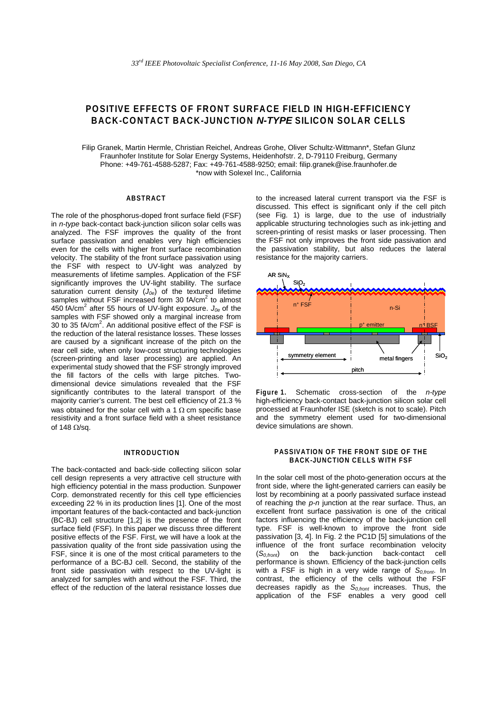# **POSITIVE EFFECTS OF FRONT SURFACE FIELD IN HIGH-EFFICIENCY BACK-CONTACT BACK-JUNCTION** *N-TYPE* **SILICON SOLAR CELLS**

Filip Granek, Martin Hermle, Christian Reichel, Andreas Grohe, Oliver Schultz-Wittmann\*, Stefan Glunz Fraunhofer Institute for Solar Energy Systems, Heidenhofstr. 2, D-79110 Freiburg, Germany Phone: +49-761-4588-5287; Fax: +49-761-4588-9250; email: filip.granek@ise.fraunhofer.de \*now with Solexel Inc., California

## **ABSTRACT**

The role of the phosphorus-doped front surface field (FSF) in *n-type* back-contact back-junction silicon solar cells was analyzed. The FSF improves the quality of the front surface passivation and enables very high efficiencies even for the cells with higher front surface recombination velocity. The stability of the front surface passivation using the FSF with respect to UV-light was analyzed by measurements of lifetime samples. Application of the FSF significantly improves the UV-light stability. The surface saturation current density (*J0e*) of the textured lifetime samples without FSF increased form 30 fA/cm<sup>2</sup> to almost 450 fA/cm<sup>2</sup> after 55 hours of UV-light exposure. *J0e* of the samples with FSF showed only a marginal increase from 30 to 35  $f$ A/cm<sup>2</sup>. An additional positive effect of the FSF is the reduction of the lateral resistance losses. These losses are caused by a significant increase of the pitch on the rear cell side, when only low-cost structuring technologies (screen-printing and laser processing) are applied. An experimental study showed that the FSF strongly improved the fill factors of the cells with large pitches. Twodimensional device simulations revealed that the FSF significantly contributes to the lateral transport of the majority carrier's current. The best cell efficiency of 21.3 % was obtained for the solar cell with a 1  $\Omega$  cm specific base resistivity and a front surface field with a sheet resistance of 148  $\Omega$ /sa.

## **INTRODUCTION**

The back-contacted and back-side collecting silicon solar cell design represents a very attractive cell structure with high efficiency potential in the mass production. Sunpower Corp. demonstrated recently for this cell type efficiencies exceeding 22 % in its production lines [1]. One of the most important features of the back-contacted and back-junction (BC-BJ) cell structure [1,2] is the presence of the front surface field (FSF). In this paper we discuss three different positive effects of the FSF. First, we will have a look at the passivation quality of the front side passivation using the FSF, since it is one of the most critical parameters to the performance of a BC-BJ cell. Second, the stability of the front side passivation with respect to the UV-light is analyzed for samples with and without the FSF. Third, the effect of the reduction of the lateral resistance losses due

to the increased lateral current transport via the FSF is discussed. This effect is significant only if the cell pitch (see Fig. 1) is large, due to the use of industrially applicable structuring technologies such as ink-jetting and screen-printing of resist masks or laser processing. Then the FSF not only improves the front side passivation and the passivation stability, but also reduces the lateral resistance for the majority carriers.



**Figure 1.** Schematic cross-section of the *n-type* high-efficiency back-contact back-junction silicon solar cell processed at Fraunhofer ISE (sketch is not to scale). Pitch and the symmetry element used for two-dimensional device simulations are shown.

#### **PASSIVATION OF THE FRONT SIDE OF THE BACK-JUNCTION CELLS WITH FSF**

In the solar cell most of the photo-generation occurs at the front side, where the light-generated carriers can easily be lost by recombining at a poorly passivated surface instead of reaching the *p-n* junction at the rear surface. Thus, an excellent front surface passivation is one of the critical factors influencing the efficiency of the back-junction cell type. FSF is well-known to improve the front side passivation [3, 4]. In Fig. 2 the PC1D [5] simulations of the influence of the front surface recombination velocity (*S0,front*) on the back-junction back-contact cell performance is shown. Efficiency of the back-junction cells with a FSF is high in a very wide range of S<sub>0, front</sub>. In contrast, the efficiency of the cells without the FSF decreases rapidly as the *S0,front* increases. Thus, the application of the FSF enables a very good cell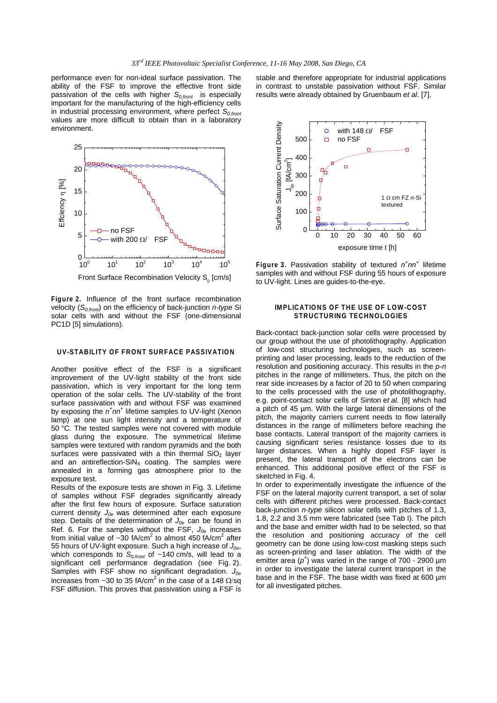performance even for non-ideal surface passivation. The ability of the FSF to improve the effective front side passivation of the cells with higher S<sub>0,front</sub> is especially important for the manufacturing of the high-efficiency cells in industrial processing environment, where perfect  $S<sub>0 front</sub>$ values are more difficult to obtain than in a laboratory environment.



**Figure 2.** Influence of the front surface recombination velocity (S<sub>0,front</sub>) on the efficiency of back-junction *n-type* Si solar cells with and without the FSF (one-dimensional PC1D [5] simulations).

## **UV-STABILITY OF FRONT SURFACE PASSIVATION**

Another positive effect of the FSF is a significant improvement of the UV-light stability of the front side passivation, which is very important for the long term operation of the solar cells. The UV-stability of the front surface passivation with and without FSF was examined by exposing the  $n^+nn^+$  lifetime samples to UV-light (Xenon lamp) at one sun light intensity and a temperature of 50 °C. The tested samples were not covered with module glass during the exposure. The symmetrical lifetime samples were textured with random pyramids and the both surfaces were passivated with a thin thermal  $SiO<sub>2</sub>$  layer and an antireflection- $SiN_x$  coating. The samples were annealed in a forming gas atmosphere prior to the exposure test.

Results of the exposure tests are shown in Fig. 3. Lifetime of samples without FSF degrades significantly already after the first few hours of exposure. Surface saturation current density *J0e* was determined after each exposure step. Details of the determination of  $J_{0e}$  can be found in Ref. 6. For the samples without the FSF, *J0e* increases from initial value of  $\sim$ 30 fA/cm<sup>2</sup> to almost 450 fA/cm<sup>2</sup> after 55 hours of UV-light exposure. Such a high increase of *J0e*, which corresponds to  $S_{0,front}$  of ~140 cm/s, will lead to a significant cell performance degradation (see Fig. 2). Samples with FSF show no significant degradation.  $J_{0e}$ increases from ~30 to 35 fA/cm<sup>2</sup> in the case of a 148  $\Omega$ /sq FSF diffusion. This proves that passivation using a FSF is

stable and therefore appropriate for industrial applications in contrast to unstable passivation without FSF. Similar results were already obtained by Gruenbaum *et al*. [7].



**Figure 3.** Passivation stability of textured  $n^+nn^+$  lifetime samples with and without FSF during 55 hours of exposure to UV-light. Lines are guides-to-the-eye.

#### **IMPLICATIONS OF THE USE OF LOW-COST STRUCTURING TECHNOLOGIES**

Back-contact back-junction solar cells were processed by our group without the use of photolithography. Application of low-cost structuring technologies, such as screenprinting and laser processing, leads to the reduction of the resolution and positioning accuracy. This results in the *p-n* pitches in the range of millimeters. Thus, the pitch on the rear side increases by a factor of 20 to 50 when comparing to the cells processed with the use of photolithography, e.g. point-contact solar cells of Sinton e*t al.* [8] which had a pitch of 45 µm. With the large lateral dimensions of the pitch, the majority carriers current needs to flow laterally distances in the range of millimeters before reaching the base contacts. Lateral transport of the majority carriers is causing significant series resistance losses due to its larger distances. When a highly doped FSF layer is present, the lateral transport of the electrons can be enhanced. This additional positive effect of the FSF is sketched in Fig. 4.

In order to experimentally investigate the influence of the FSF on the lateral majority current transport, a set of solar cells with different pitches were processed. Back-contact back-junction *n-type* silicon solar cells with pitches of 1.3, 1.8, 2.2 and 3.5 mm were fabricated (see Tab I). The pitch and the base and emitter width had to be selected, so that the resolution and positioning accuracy of the cell geometry can be done using low-cost masking steps such as screen-printing and laser ablation. The width of the emitter area  $(p^+)$  was varied in the range of 700 - 2900  $\mu$ m in order to investigate the lateral current transport in the base and in the FSF. The base width was fixed at 600 µm for all investigated pitches.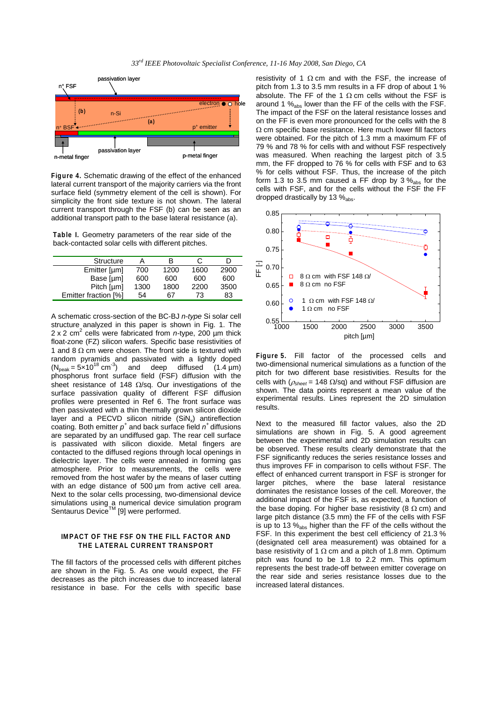

**Figure 4.** Schematic drawing of the effect of the enhanced lateral current transport of the majority carriers via the front surface field (symmetry element of the cell is shown). For simplicity the front side texture is not shown. The lateral current transport through the FSF (b) can be seen as an additional transport path to the base lateral resistance (a).

**Table I.** Geometry parameters of the rear side of the back-contacted solar cells with different pitches.

| Structure            |      | в    | C    |      |
|----------------------|------|------|------|------|
| Emitter [um]         | 700  | 1200 | 1600 | 2900 |
| Base [µm]            | 600  | 600  | 600  | 600  |
| Pitch [µm]           | 1300 | 1800 | 2200 | 3500 |
| Emitter fraction [%] | 54   | 67   | 73   | 83   |

A schematic cross-section of the BC-BJ *n-type* Si solar cell structure analyzed in this paper is shown in Fig. 1. The 2 x 2 cm<sup>2</sup> cells were fabricated from *n*-type, 200 µm thick float-zone (FZ) silicon wafers. Specific base resistivities of 1 and 8  $\Omega$  cm were chosen. The front side is textured with random pyramids and passivated with a lightly doped  $(N_{\text{peak}} = 5 \times 10^{18} \text{ cm}^3)$  and deep diffused (1.4 µm) phosphorus front surface field (FSF) diffusion with the sheet resistance of 148 Ω/sq. Our investigations of the surface passivation quality of different FSF diffusion profiles were presented in Ref 6. The front surface was then passivated with a thin thermally grown silicon dioxide layer and a PECVD silicon nitride  $(SiN_x)$  antireflection coating. Both emitter *p+* and back surface field *n+* diffusions are separated by an undiffused gap. The rear cell surface is passivated with silicon dioxide. Metal fingers are contacted to the diffused regions through local openings in dielectric layer. The cells were annealed in forming gas atmosphere. Prior to measurements, the cells were removed from the host wafer by the means of laser cutting with an edge distance of 500 um from active cell area. Next to the solar cells processing, two-dimensional device simulations using a numerical device simulation program Sentaurus Device™ [9] were performed.

#### **IMPACT OF THE FSF ON THE FILL FACTOR AND THE LATERAL CURRENT TRANSPORT**

The fill factors of the processed cells with different pitches are shown in the Fig. 5. As one would expect, the FF decreases as the pitch increases due to increased lateral resistance in base. For the cells with specific base resistivity of 1  $\Omega$  cm and with the FSF, the increase of pitch from 1.3 to 3.5 mm results in a FF drop of about 1 % absolute. The FF of the 1  $\Omega$  cm cells without the FSF is around 1 %abs lower than the FF of the cells with the FSF. The impact of the FSF on the lateral resistance losses and on the FF is even more pronounced for the cells with the 8 Ω cm specific base resistance. Here much lower fill factors were obtained. For the pitch of 1.3 mm a maximum FF of 79 % and 78 % for cells with and without FSF respectively was measured. When reaching the largest pitch of 3.5 mm, the FF dropped to 76 % for cells with FSF and to 63 % for cells without FSF. Thus, the increase of the pitch form 1.3 to 3.5 mm caused a FF drop by 3  $\%_{\rm abs}$  for the cells with FSF, and for the cells without the FSF the FF dropped drastically by 13 % abs.



**Figure 5.** Fill factor of the processed cells and two-dimensional numerical simulations as a function of the pitch for two different base resistivities. Results for the cells with ( $ρ<sub>sheet</sub> = 148 Ω$ /sq) and without FSF diffusion are shown. The data points represent a mean value of the experimental results. Lines represent the 2D simulation results.

Next to the measured fill factor values, also the 2D simulations are shown in Fig. 5. A good agreement between the experimental and 2D simulation results can be observed. These results clearly demonstrate that the FSF significantly reduces the series resistance losses and thus improves FF in comparison to cells without FSF. The effect of enhanced current transport in FSF is stronger for larger pitches, where the base lateral resistance dominates the resistance losses of the cell. Moreover, the additional impact of the FSF is, as expected, a function of the base doping. For higher base resistivity (8  $\Omega$  cm) and large pitch distance (3.5 mm) the FF of the cells with FSF is up to 13 %abs higher than the FF of the cells without the FSF. In this experiment the best cell efficiency of 21.3 % (designated cell area measurement) was obtained for a base resistivity of 1  $\Omega$  cm and a pitch of 1.8 mm. Optimum pitch was found to be 1.8 to 2.2 mm. This optimum represents the best trade-off between emitter coverage on the rear side and series resistance losses due to the increased lateral distances.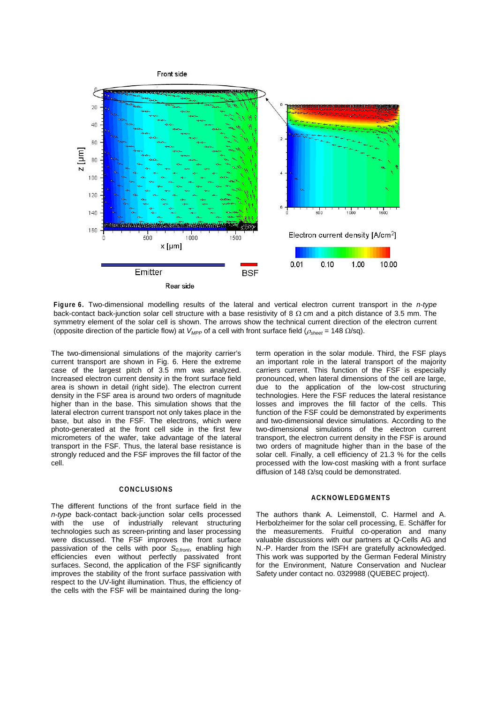

**Figure 6.** Two-dimensional modelling results of the lateral and vertical electron current transport in the *n-type* back-contact back-junction solar cell structure with a base resistivity of 8  $\Omega$  cm and a pitch distance of 3.5 mm. The symmetry element of the solar cell is shown. The arrows show the technical current direction of the electron current (opposite direction of the particle flow) at *VMPP* of a cell with front surface field (<sup>ρ</sup>*sheet* = 148 Ω/sq).

The two-dimensional simulations of the majority carrier's current transport are shown in Fig. 6. Here the extreme case of the largest pitch of 3.5 mm was analyzed. Increased electron current density in the front surface field area is shown in detail (right side). The electron current density in the FSF area is around two orders of magnitude higher than in the base. This simulation shows that the lateral electron current transport not only takes place in the base, but also in the FSF. The electrons, which were photo-generated at the front cell side in the first few micrometers of the wafer, take advantage of the lateral transport in the FSF. Thus, the lateral base resistance is strongly reduced and the FSF improves the fill factor of the cell.

#### **CONCLUSIONS**

The different functions of the front surface field in the *n-type* back-contact back-junction solar cells processed with the use of industrially relevant structuring technologies such as screen-printing and laser processing were discussed. The FSF improves the front surface passivation of the cells with poor *S0,front*, enabling high efficiencies even without perfectly passivated front surfaces. Second, the application of the FSF significantly improves the stability of the front surface passivation with respect to the UV-light illumination. Thus, the efficiency of the cells with the FSF will be maintained during the longterm operation in the solar module. Third, the FSF plays an important role in the lateral transport of the majority carriers current. This function of the FSF is especially pronounced, when lateral dimensions of the cell are large, due to the application of the low-cost structuring technologies. Here the FSF reduces the lateral resistance losses and improves the fill factor of the cells. This function of the FSF could be demonstrated by experiments and two-dimensional device simulations. According to the two-dimensional simulations of the electron current transport, the electron current density in the FSF is around two orders of magnitude higher than in the base of the solar cell. Finally, a cell efficiency of 21.3 % for the cells processed with the low-cost masking with a front surface diffusion of 148  $\Omega$ /sq could be demonstrated.

#### **ACKNOWLEDGMENTS**

The authors thank A. Leimenstoll, C. Harmel and A. Herbolzheimer for the solar cell processing, E. Schäffer for the measurements. Fruitful co-operation and many valuable discussions with our partners at Q-Cells AG and N.-P. Harder from the ISFH are gratefully acknowledged. This work was supported by the German Federal Ministry for the Environment, Nature Conservation and Nuclear Safety under contact no. 0329988 (QUEBEC project).